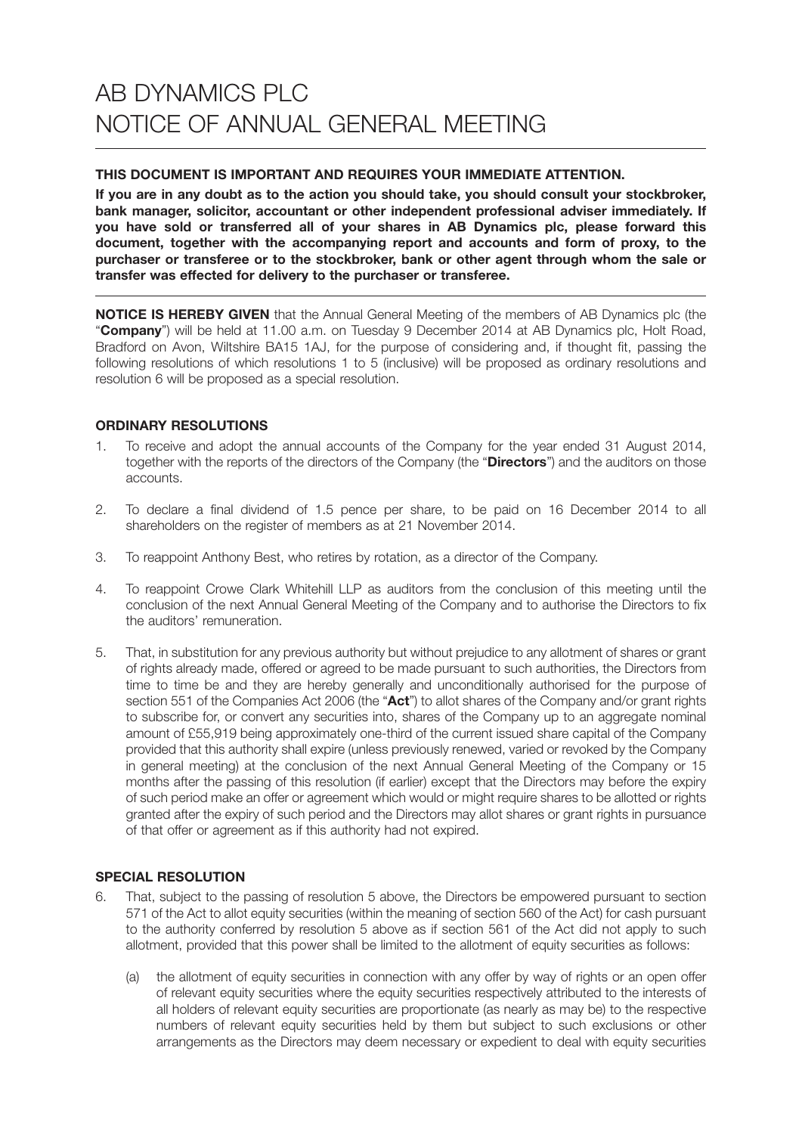# **THIS DOCUMENT IS IMPORTANT AND REQUIRES YOUR IMMEDIATE ATTENTION.**

**If you are in any doubt as to the action you should take, you should consult your stockbroker, bank manager, solicitor, accountant or other independent professional adviser immediately. If you have sold or transferred all of your shares in AB Dynamics plc, please forward this document, together with the accompanying report and accounts and form of proxy, to the purchaser or transferee or to the stockbroker, bank or other agent through whom the sale or transfer was effected for delivery to the purchaser or transferee.**

**NOTICE IS HEREBY GIVEN** that the Annual General Meeting of the members of AB Dynamics plc (the "**Company**") will be held at 11.00 a.m. on Tuesday 9 December 2014 at AB Dynamics plc, Holt Road, Bradford on Avon, Wiltshire BA15 1AJ, for the purpose of considering and, if thought fit, passing the following resolutions of which resolutions 1 to 5 (inclusive) will be proposed as ordinary resolutions and resolution 6 will be proposed as a special resolution.

# **ORDINARY RESOLUTIONS**

- 1. To receive and adopt the annual accounts of the Company for the year ended 31 August 2014, together with the reports of the directors of the Company (the "**Directors**") and the auditors on those accounts.
- 2. To declare a final dividend of 1.5 pence per share, to be paid on 16 December 2014 to all shareholders on the register of members as at 21 November 2014.
- 3. To reappoint Anthony Best, who retires by rotation, as a director of the Company.
- 4. To reappoint Crowe Clark Whitehill LLP as auditors from the conclusion of this meeting until the conclusion of the next Annual General Meeting of the Company and to authorise the Directors to fix the auditors' remuneration.
- 5. That, in substitution for any previous authority but without prejudice to any allotment of shares or grant of rights already made, offered or agreed to be made pursuant to such authorities, the Directors from time to time be and they are hereby generally and unconditionally authorised for the purpose of section 551 of the Companies Act 2006 (the "**Act**") to allot shares of the Company and/or grant rights to subscribe for, or convert any securities into, shares of the Company up to an aggregate nominal amount of £55,919 being approximately one-third of the current issued share capital of the Company provided that this authority shall expire (unless previously renewed, varied or revoked by the Company in general meeting) at the conclusion of the next Annual General Meeting of the Company or 15 months after the passing of this resolution (if earlier) except that the Directors may before the expiry of such period make an offer or agreement which would or might require shares to be allotted or rights granted after the expiry of such period and the Directors may allot shares or grant rights in pursuance of that offer or agreement as if this authority had not expired.

# **SPECIAL RESOLUTION**

- 6. That, subject to the passing of resolution 5 above, the Directors be empowered pursuant to section 571 of the Act to allot equity securities (within the meaning of section 560 of the Act) for cash pursuant to the authority conferred by resolution 5 above as if section 561 of the Act did not apply to such allotment, provided that this power shall be limited to the allotment of equity securities as follows:
	- (a) the allotment of equity securities in connection with any offer by way of rights or an open offer of relevant equity securities where the equity securities respectively attributed to the interests of all holders of relevant equity securities are proportionate (as nearly as may be) to the respective numbers of relevant equity securities held by them but subject to such exclusions or other arrangements as the Directors may deem necessary or expedient to deal with equity securities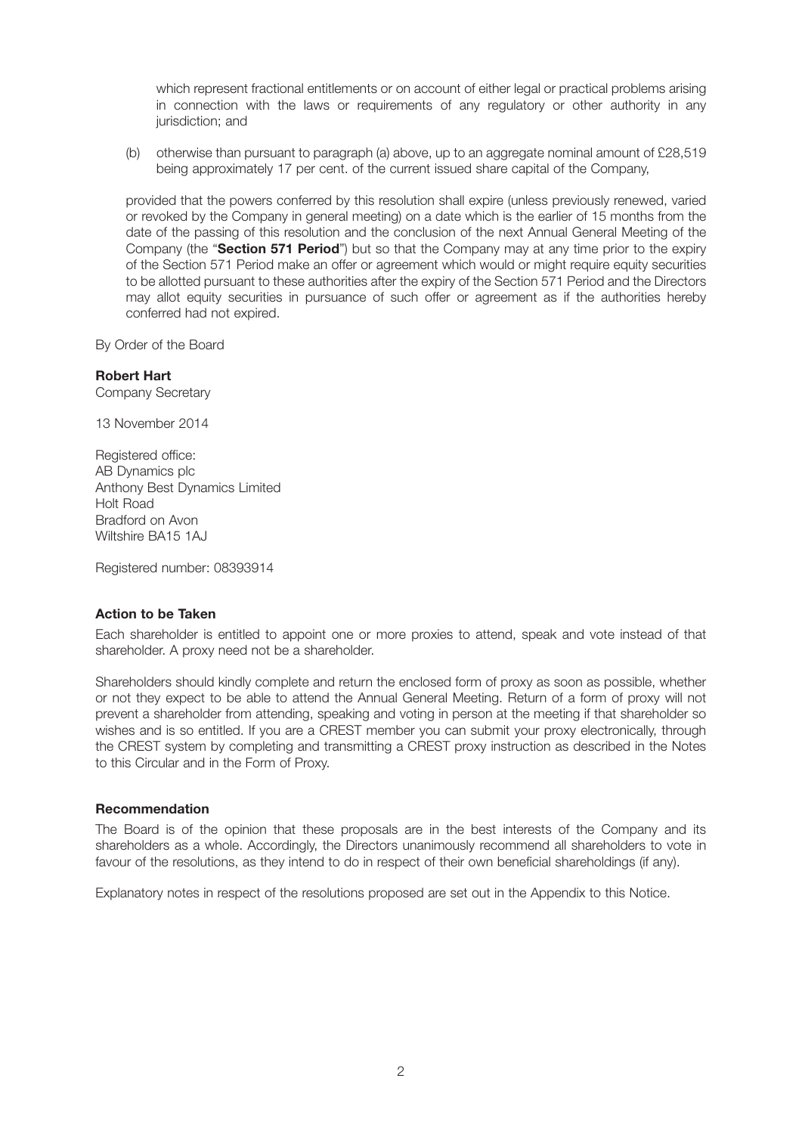which represent fractional entitlements or on account of either legal or practical problems arising in connection with the laws or requirements of any regulatory or other authority in any jurisdiction; and

 (b) otherwise than pursuant to paragraph (a) above, up to an aggregate nominal amount of £28,519 being approximately 17 per cent. of the current issued share capital of the Company,

 provided that the powers conferred by this resolution shall expire (unless previously renewed, varied or revoked by the Company in general meeting) on a date which is the earlier of 15 months from the date of the passing of this resolution and the conclusion of the next Annual General Meeting of the Company (the "**Section 571 Period**") but so that the Company may at any time prior to the expiry of the Section 571 Period make an offer or agreement which would or might require equity securities to be allotted pursuant to these authorities after the expiry of the Section 571 Period and the Directors may allot equity securities in pursuance of such offer or agreement as if the authorities hereby conferred had not expired.

By Order of the Board

# **Robert Hart**

Company Secretary

13 November 2014

Registered office: AB Dynamics plc Anthony Best Dynamics Limited Holt Road Bradford on Avon Wiltshire BA15 1AJ

Registered number: 08393914

### **Action to be Taken**

Each shareholder is entitled to appoint one or more proxies to attend, speak and vote instead of that shareholder. A proxy need not be a shareholder.

Shareholders should kindly complete and return the enclosed form of proxy as soon as possible, whether or not they expect to be able to attend the Annual General Meeting. Return of a form of proxy will not prevent a shareholder from attending, speaking and voting in person at the meeting if that shareholder so wishes and is so entitled. If you are a CREST member you can submit your proxy electronically, through the CREST system by completing and transmitting a CREST proxy instruction as described in the Notes to this Circular and in the Form of Proxy.

### **Recommendation**

The Board is of the opinion that these proposals are in the best interests of the Company and its shareholders as a whole. Accordingly, the Directors unanimously recommend all shareholders to vote in favour of the resolutions, as they intend to do in respect of their own beneficial shareholdings (if any).

Explanatory notes in respect of the resolutions proposed are set out in the Appendix to this Notice.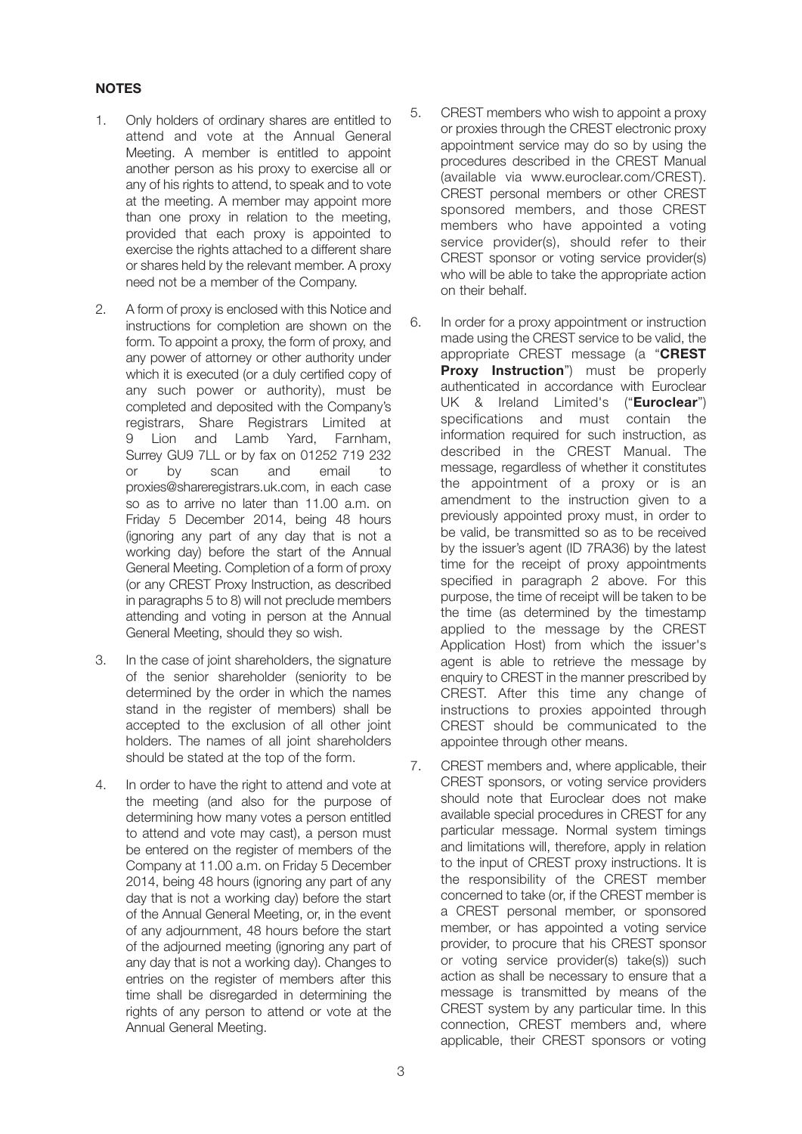# **NOTES**

- 1. Only holders of ordinary shares are entitled to attend and vote at the Annual General Meeting. A member is entitled to appoint another person as his proxy to exercise all or any of his rights to attend, to speak and to vote at the meeting. A member may appoint more than one proxy in relation to the meeting, provided that each proxy is appointed to exercise the rights attached to a different share or shares held by the relevant member. A proxy need not be a member of the Company.
- 2. A form of proxy is enclosed with this Notice and instructions for completion are shown on the form. To appoint a proxy, the form of proxy, and any power of attorney or other authority under which it is executed (or a duly certified copy of any such power or authority), must be completed and deposited with the Company's registrars, Share Registrars Limited at 9 Lion and Lamb Yard, Farnham, Surrey GU9 7LL or by fax on 01252 719 232 or by scan and email to proxies@shareregistrars.uk.com, in each case so as to arrive no later than 11.00 a.m. on Friday 5 December 2014, being 48 hours (ignoring any part of any day that is not a working day) before the start of the Annual General Meeting. Completion of a form of proxy (or any CREST Proxy Instruction, as described in paragraphs 5 to 8) will not preclude members attending and voting in person at the Annual General Meeting, should they so wish.
- 3. In the case of joint shareholders, the signature of the senior shareholder (seniority to be determined by the order in which the names stand in the register of members) shall be accepted to the exclusion of all other joint holders. The names of all joint shareholders should be stated at the top of the form.
- 4. In order to have the right to attend and vote at the meeting (and also for the purpose of determining how many votes a person entitled to attend and vote may cast), a person must be entered on the register of members of the Company at 11.00 a.m. on Friday 5 December 2014, being 48 hours (ignoring any part of any day that is not a working day) before the start of the Annual General Meeting, or, in the event of any adjournment, 48 hours before the start of the adjourned meeting (ignoring any part of any day that is not a working day). Changes to entries on the register of members after this time shall be disregarded in determining the rights of any person to attend or vote at the Annual General Meeting.
- 5. CREST members who wish to appoint a proxy or proxies through the CREST electronic proxy appointment service may do so by using the procedures described in the CREST Manual (available via www.euroclear.com/CREST). CREST personal members or other CREST sponsored members, and those CREST members who have appointed a voting service provider(s), should refer to their CREST sponsor or voting service provider(s) who will be able to take the appropriate action on their behalf.
- 6. In order for a proxy appointment or instruction made using the CREST service to be valid, the appropriate CREST message (a "**CREST Proxy Instruction**") must be properly authenticated in accordance with Euroclear UK & Ireland Limited's ("**Euroclear**") specifications and must contain the information required for such instruction, as described in the CREST Manual. The message, regardless of whether it constitutes the appointment of a proxy or is an amendment to the instruction given to a previously appointed proxy must, in order to be valid, be transmitted so as to be received by the issuer's agent (ID 7RA36) by the latest time for the receipt of proxy appointments specified in paragraph 2 above. For this purpose, the time of receipt will be taken to be the time (as determined by the timestamp applied to the message by the CREST Application Host) from which the issuer's agent is able to retrieve the message by enquiry to CREST in the manner prescribed by CREST. After this time any change of instructions to proxies appointed through CREST should be communicated to the appointee through other means.
- 7. CREST members and, where applicable, their CREST sponsors, or voting service providers should note that Euroclear does not make available special procedures in CREST for any particular message. Normal system timings and limitations will, therefore, apply in relation to the input of CREST proxy instructions. It is the responsibility of the CREST member concerned to take (or, if the CREST member is a CREST personal member, or sponsored member, or has appointed a voting service provider, to procure that his CREST sponsor or voting service provider(s) take(s)) such action as shall be necessary to ensure that a message is transmitted by means of the CREST system by any particular time. In this connection, CREST members and, where applicable, their CREST sponsors or voting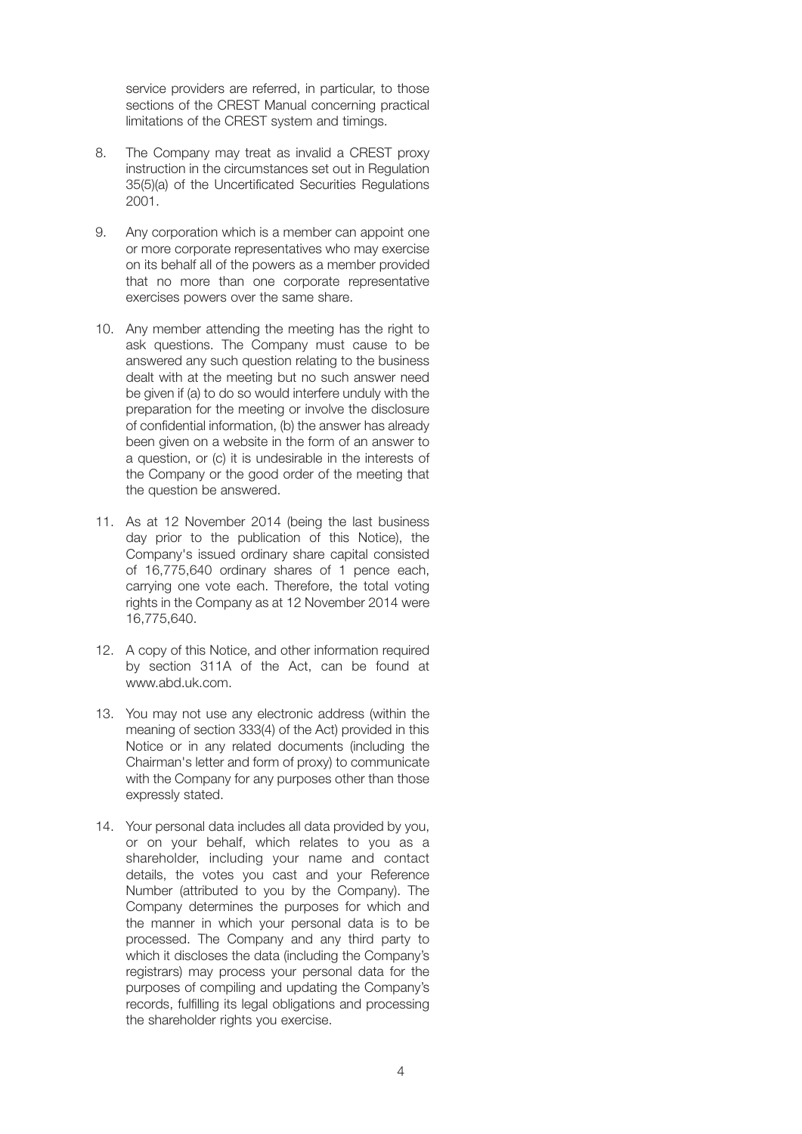service providers are referred, in particular, to those sections of the CREST Manual concerning practical limitations of the CREST system and timings.

- 8. The Company may treat as invalid a CREST proxy instruction in the circumstances set out in Regulation 35(5)(a) of the Uncertificated Securities Regulations 2001.
- 9. Any corporation which is a member can appoint one or more corporate representatives who may exercise on its behalf all of the powers as a member provided that no more than one corporate representative exercises powers over the same share.
- 10. Any member attending the meeting has the right to ask questions. The Company must cause to be answered any such question relating to the business dealt with at the meeting but no such answer need be given if (a) to do so would interfere unduly with the preparation for the meeting or involve the disclosure of confidential information, (b) the answer has already been given on a website in the form of an answer to a question, or (c) it is undesirable in the interests of the Company or the good order of the meeting that the question be answered.
- 11. As at 12 November 2014 (being the last business day prior to the publication of this Notice), the Company's issued ordinary share capital consisted of 16,775,640 ordinary shares of 1 pence each, carrying one vote each. Therefore, the total voting rights in the Company as at 12 November 2014 were 16,775,640.
- 12. A copy of this Notice, and other information required by section 311A of the Act, can be found at www.abd.uk.com.
- 13. You may not use any electronic address (within the meaning of section 333(4) of the Act) provided in this Notice or in any related documents (including the Chairman's letter and form of proxy) to communicate with the Company for any purposes other than those expressly stated.
- 14. Your personal data includes all data provided by you, or on your behalf, which relates to you as a shareholder, including your name and contact details, the votes you cast and your Reference Number (attributed to you by the Company). The Company determines the purposes for which and the manner in which your personal data is to be processed. The Company and any third party to which it discloses the data (including the Company's registrars) may process your personal data for the purposes of compiling and updating the Company's records, fulfilling its legal obligations and processing the shareholder rights you exercise.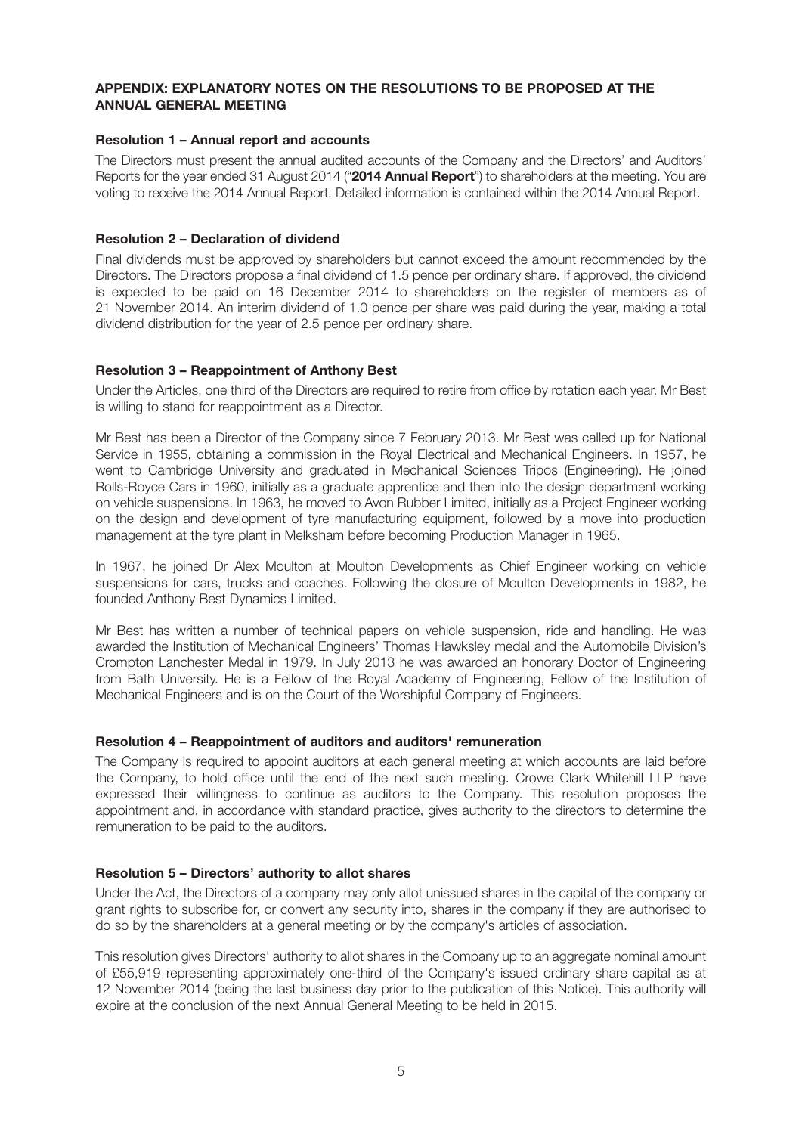## **APPENDIX: EXPLANATORY NOTES ON THE RESOLUTIONS TO BE PROPOSED AT THE ANNUAL GENERAL MEETING**

## **Resolution 1 – Annual report and accounts**

The Directors must present the annual audited accounts of the Company and the Directors' and Auditors' Reports for the year ended 31 August 2014 ("**2014 Annual Report**") to shareholders at the meeting. You are voting to receive the 2014 Annual Report. Detailed information is contained within the 2014 Annual Report.

## **Resolution 2 – Declaration of dividend**

Final dividends must be approved by shareholders but cannot exceed the amount recommended by the Directors. The Directors propose a final dividend of 1.5 pence per ordinary share. If approved, the dividend is expected to be paid on 16 December 2014 to shareholders on the register of members as of 21 November 2014. An interim dividend of 1.0 pence per share was paid during the year, making a total dividend distribution for the year of 2.5 pence per ordinary share.

## **Resolution 3 – Reappointment of Anthony Best**

Under the Articles, one third of the Directors are required to retire from office by rotation each year. Mr Best is willing to stand for reappointment as a Director.

Mr Best has been a Director of the Company since 7 February 2013. Mr Best was called up for National Service in 1955, obtaining a commission in the Royal Electrical and Mechanical Engineers. In 1957, he went to Cambridge University and graduated in Mechanical Sciences Tripos (Engineering). He joined Rolls-Royce Cars in 1960, initially as a graduate apprentice and then into the design department working on vehicle suspensions. In 1963, he moved to Avon Rubber Limited, initially as a Project Engineer working on the design and development of tyre manufacturing equipment, followed by a move into production management at the tyre plant in Melksham before becoming Production Manager in 1965.

In 1967, he joined Dr Alex Moulton at Moulton Developments as Chief Engineer working on vehicle suspensions for cars, trucks and coaches. Following the closure of Moulton Developments in 1982, he founded Anthony Best Dynamics Limited.

Mr Best has written a number of technical papers on vehicle suspension, ride and handling. He was awarded the Institution of Mechanical Engineers' Thomas Hawksley medal and the Automobile Division's Crompton Lanchester Medal in 1979. In July 2013 he was awarded an honorary Doctor of Engineering from Bath University. He is a Fellow of the Royal Academy of Engineering, Fellow of the Institution of Mechanical Engineers and is on the Court of the Worshipful Company of Engineers.

### **Resolution 4 – Reappointment of auditors and auditors' remuneration**

The Company is required to appoint auditors at each general meeting at which accounts are laid before the Company, to hold office until the end of the next such meeting. Crowe Clark Whitehill LLP have expressed their willingness to continue as auditors to the Company. This resolution proposes the appointment and, in accordance with standard practice, gives authority to the directors to determine the remuneration to be paid to the auditors.

## **Resolution 5 – Directors' authority to allot shares**

Under the Act, the Directors of a company may only allot unissued shares in the capital of the company or grant rights to subscribe for, or convert any security into, shares in the company if they are authorised to do so by the shareholders at a general meeting or by the company's articles of association.

This resolution gives Directors' authority to allot shares in the Company up to an aggregate nominal amount of £55,919 representing approximately one-third of the Company's issued ordinary share capital as at 12 November 2014 (being the last business day prior to the publication of this Notice). This authority will expire at the conclusion of the next Annual General Meeting to be held in 2015.